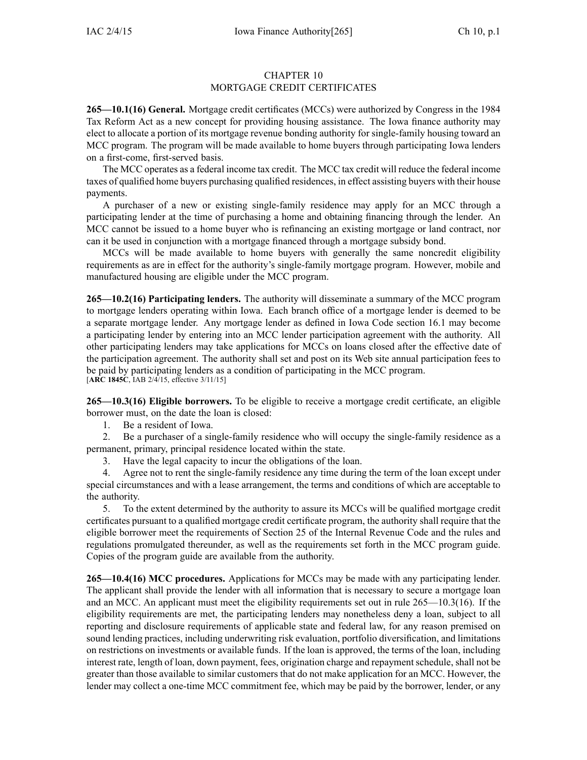## CHAPTER 10 MORTGAGE CREDIT CERTIFICATES

**265—10.1(16) General.** Mortgage credit certificates (MCCs) were authorized by Congress in the 1984 Tax Reform Act as <sup>a</sup> new concep<sup>t</sup> for providing housing assistance. The Iowa finance authority may elect to allocate <sup>a</sup> portion of its mortgage revenue bonding authority for single-family housing toward an MCC program. The program will be made available to home buyers through participating Iowa lenders on <sup>a</sup> first-come, first-served basis.

The MCC operates as <sup>a</sup> federal income tax credit. The MCC tax credit will reduce the federal income taxes of qualified home buyers purchasing qualified residences, in effect assisting buyers with their house payments.

A purchaser of <sup>a</sup> new or existing single-family residence may apply for an MCC through <sup>a</sup> participating lender at the time of purchasing <sup>a</sup> home and obtaining financing through the lender. An MCC cannot be issued to <sup>a</sup> home buyer who is refinancing an existing mortgage or land contract, nor can it be used in conjunction with <sup>a</sup> mortgage financed through <sup>a</sup> mortgage subsidy bond.

MCCs will be made available to home buyers with generally the same noncredit eligibility requirements as are in effect for the authority's single-family mortgage program. However, mobile and manufactured housing are eligible under the MCC program.

**265—10.2(16) Participating lenders.** The authority will disseminate <sup>a</sup> summary of the MCC program to mortgage lenders operating within Iowa. Each branch office of <sup>a</sup> mortgage lender is deemed to be <sup>a</sup> separate mortgage lender. Any mortgage lender as defined in Iowa Code section 16.1 may become <sup>a</sup> participating lender by entering into an MCC lender participation agreemen<sup>t</sup> with the authority. All other participating lenders may take applications for MCCs on loans closed after the effective date of the participation agreement. The authority shall set and pos<sup>t</sup> on its Web site annual participation fees to be paid by participating lenders as <sup>a</sup> condition of participating in the MCC program. [**ARC 1845C**, IAB 2/4/15, effective 3/11/15]

**265—10.3(16) Eligible borrowers.** To be eligible to receive <sup>a</sup> mortgage credit certificate, an eligible borrower must, on the date the loan is closed:

1. Be <sup>a</sup> resident of Iowa.

2. Be <sup>a</sup> purchaser of <sup>a</sup> single-family residence who will occupy the single-family residence as <sup>a</sup> permanent, primary, principal residence located within the state.

3. Have the legal capacity to incur the obligations of the loan.

4. Agree not to rent the single-family residence any time during the term of the loan excep<sup>t</sup> under special circumstances and with <sup>a</sup> lease arrangement, the terms and conditions of which are acceptable to the authority.

5. To the extent determined by the authority to assure its MCCs will be qualified mortgage credit certificates pursuan<sup>t</sup> to <sup>a</sup> qualified mortgage credit certificate program, the authority shall require that the eligible borrower meet the requirements of Section 25 of the Internal Revenue Code and the rules and regulations promulgated thereunder, as well as the requirements set forth in the MCC program guide. Copies of the program guide are available from the authority.

**265—10.4(16) MCC procedures.** Applications for MCCs may be made with any participating lender. The applicant shall provide the lender with all information that is necessary to secure <sup>a</sup> mortgage loan and an MCC. An applicant must meet the eligibility requirements set out in rule 265—10.3(16). If the eligibility requirements are met, the participating lenders may nonetheless deny <sup>a</sup> loan, subject to all reporting and disclosure requirements of applicable state and federal law, for any reason premised on sound lending practices, including underwriting risk evaluation, portfolio diversification, and limitations on restrictions on investments or available funds. If the loan is approved, the terms of the loan, including interest rate, length of loan, down payment, fees, origination charge and repayment schedule, shall not be greater than those available to similar customers that do not make application for an MCC. However, the lender may collect <sup>a</sup> one-time MCC commitment fee, which may be paid by the borrower, lender, or any